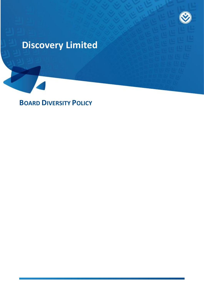

# **Discovery Limited**

**BOARD DIVERSITY POLICY**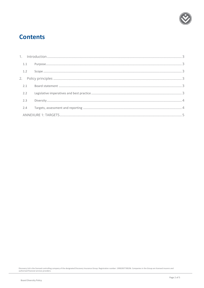

### **Contents**

| 1.1 |  |
|-----|--|
|     |  |
|     |  |
|     |  |
| 2.2 |  |
| 2.3 |  |
| 2.4 |  |
|     |  |

Discovery Ltd is the licensed controlling company of the designated Discovery Insurance Group. Registration number: 1999/007789/06. Companies in the Group are licensed insurers and<br>authorised financial services providers.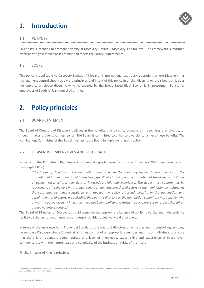## <span id="page-2-0"></span>**1. Introduction**



#### <span id="page-2-1"></span>1.1 PURPOSE

This policy is intended to promote diversity at Discovery Limited ("Discovery") board level. The Framework is informed by corporate governance best practice and meets regulatory requirements.

#### <span id="page-2-2"></span>1.2 SCOPE

This policy is applicable to Discovery Limited. All local and international subsidiary operations where Discovery has management control should apply the principles and intent of this policy in driving diversity on their boards. It does not apply to employee diversity, which is covered by the Broad-Based Black Economic Empowerment Policy, for employees of South African domiciled entities.

### <span id="page-2-3"></span>**2. Policy principles**

#### <span id="page-2-4"></span>2.1 BOARD STATEMENT

The Board of Directors of Discovery believes in the benefits that diversity brings and it recognises that diversity of thought makes prudent business sense. The Board is committed to enhance diversity to achieve these benefits. The Nominations Committee of the Board must assist the Board in implementing this policy.

#### <span id="page-2-5"></span>2.2 LEGISLATIVE IMPERATIVES AND BEST PRACTICE

In terms of the JSE Listings Requirements all annual reports issued on or after 1 January 2020 must comply with paragraph 3.84 (i):

*"The board of directors or the nomination committee, as the case may be, must have a policy on the promotion of broader diversity at board level, specifically focusing on the promotion of the diversity attributes of gender, race, culture, age, field of knowledge, skills and experience. The issuer must confirm this by reporting to shareholders in its annual report on how the board of directors or the nomination committee, as the case may be, have considered and applied the policy of broad diversity in the nomination and appointment of directors. If applicable, the board of directors or the nomination committee must explain why any of the above diversity indicators have not been applied and further report progress in respect thereof on agreed voluntary targets."*

The Board of Directors of Discovery should comprise the appropriate balance of ability, diversity and independence for it to discharge its governance role and responsibilities objectively and effectively.

In terms of the Insurance Act's Prudential Standards, the board of directors of an insurer and its controlling company (in our case Discovery Limited) must at all times consist of an appropriate number and mix of individuals to ensure that there is an adequate overall spread and level of knowledge, expert skills and experience at board level, commensurate with the nature, scale and complexity of the business and risks of the insurer.

Finally, in terms of King IV principles:

Discovery Ltd is the licensed controlling company of the designated Discovery Insurance Group. Registration number: 1999/007789/06. Companies in the Group are licensed insurers and authorised financial services providers.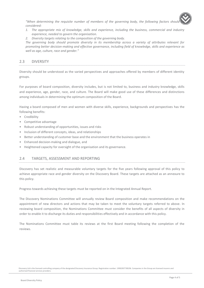"When determining the requisite number of members of the governing body, the following factors should *considered:*

- *1. The appropriate mix of knowledge, skills and experience, including the business, commercial and industry experience, needed to govern the organisation.*
- *2. Diversity targets relating to the composition of the governing body.*

*The governing body should promote diversity in its membership across a variety of attributes relevant for promoting better decision-making and effective governance, including field of knowledge, skills and experience as well as age, culture, race and gender."*

#### <span id="page-3-0"></span>2.3 DIVERSITY

Diversity should be understood as the varied perspectives and approaches offered by members of different identity groups.

For purposes of board composition, diversity includes, but is not limited to, business and industry knowledge, skills and experience, age, gender, race, and culture. The Board will make good use of these differences and distinctions among individuals in determining the optimum composition of the Board.

Having a board composed of men and women with diverse skills, experience, backgrounds and perspectives has the following benefits:

- Credibility
- Competitive advantage
- Robust understanding of opportunities, issues and risks
- Inclusion of different concepts, ideas, and relationships
- Better understanding of customer base and the environment that the business operates in
- Enhanced decision-making and dialogue, and
- <span id="page-3-1"></span>• Heightened capacity for oversight of the organisation and its governance.

#### 2.4 TARGETS, ASSESSMENT AND REPORTING

Discovery has set realistic and measurable voluntary targets for the five years following approval of this policy to achieve appropriate race and gender diversity on the Discovery Board. These targets are attached as an annexure to this policy.

Progress towards achieving these targets must be reported on in the Integrated Annual Report.

The Discovery Nominations Committee will annually review Board composition and make recommendations on the appointment of new directors and actions that may be taken to meet the voluntary targets referred to above. In reviewing board composition, the Nominations Committee must consider the benefits of all aspects of diversity in order to enable it to discharge its duties and responsibilities effectively and in accordance with this policy.

The Nominations Committee must table its reviews at the first Board meeting following the completion of the reviews.

Discovery Ltd is the licensed controlling company of the designated Discovery Insurance Group. Registration number: 1999/007789/06. Companies in the Group are licensed insurers and authorised financial services providers.